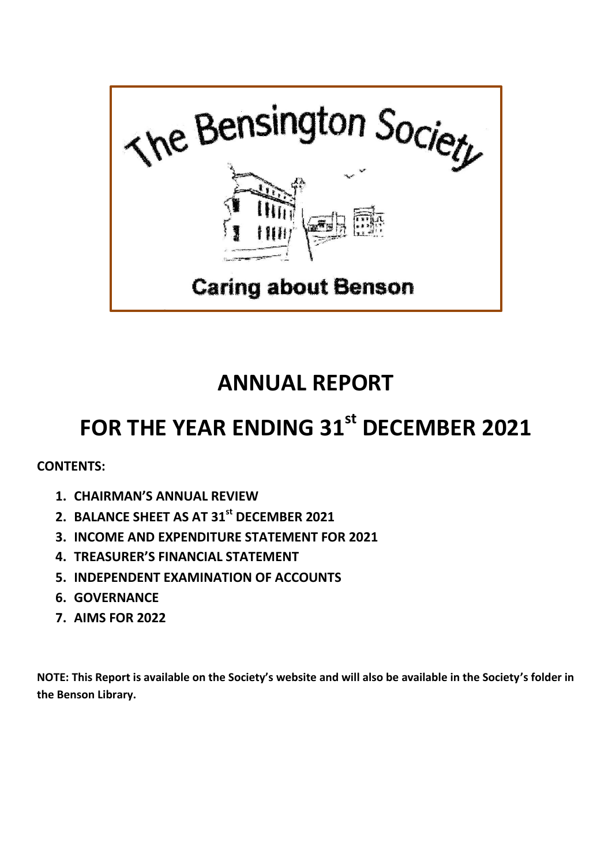

## **ANNUAL REPORT**

# **FOR THE YEAR ENDING 31st DECEMBER 2021**

**CONTENTS:**

- **1. CHAIRMAN'S ANNUAL REVIEW**
- **2. BALANCE SHEET AS AT 31st DECEMBER 2021**
- **3. INCOME AND EXPENDITURE STATEMENT FOR 2021**
- **4. TREASURER'S FINANCIAL STATEMENT**
- **5. INDEPENDENT EXAMINATION OF ACCOUNTS**
- **6. GOVERNANCE**
- **7. AIMS FOR 2022**

**NOTE: This Report is available on the Society's website and will also be available in the Society's folder in the Benson Library.**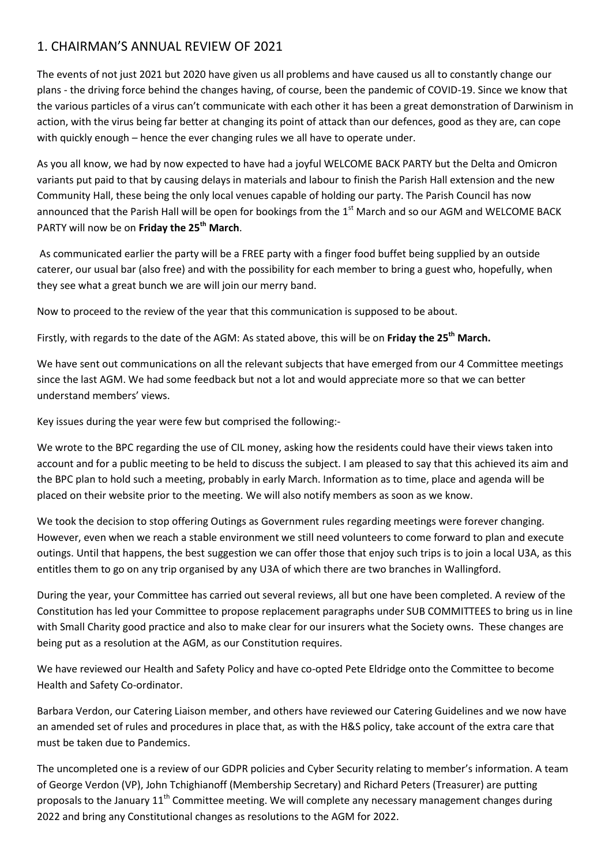### 1. CHAIRMAN'S ANNUAL REVIEW OF 2021

The events of not just 2021 but 2020 have given us all problems and have caused us all to constantly change our plans - the driving force behind the changes having, of course, been the pandemic of COVID-19. Since we know that the various particles of a virus can't communicate with each other it has been a great demonstration of Darwinism in action, with the virus being far better at changing its point of attack than our defences, good as they are, can cope with quickly enough – hence the ever changing rules we all have to operate under.

As you all know, we had by now expected to have had a joyful WELCOME BACK PARTY but the Delta and Omicron variants put paid to that by causing delays in materials and labour to finish the Parish Hall extension and the new Community Hall, these being the only local venues capable of holding our party. The Parish Council has now announced that the Parish Hall will be open for bookings from the 1<sup>st</sup> March and so our AGM and WELCOME BACK PARTY will now be on **Friday the 25th March**.

As communicated earlier the party will be a FREE party with a finger food buffet being supplied by an outside caterer, our usual bar (also free) and with the possibility for each member to bring a guest who, hopefully, when they see what a great bunch we are will join our merry band.

Now to proceed to the review of the year that this communication is supposed to be about.

Firstly, with regards to the date of the AGM: As stated above, this will be on **Friday the 25th March.**

We have sent out communications on all the relevant subjects that have emerged from our 4 Committee meetings since the last AGM. We had some feedback but not a lot and would appreciate more so that we can better understand members' views.

Key issues during the year were few but comprised the following:-

We wrote to the BPC regarding the use of CIL money, asking how the residents could have their views taken into account and for a public meeting to be held to discuss the subject. I am pleased to say that this achieved its aim and the BPC plan to hold such a meeting, probably in early March. Information as to time, place and agenda will be placed on their website prior to the meeting. We will also notify members as soon as we know.

We took the decision to stop offering Outings as Government rules regarding meetings were forever changing. However, even when we reach a stable environment we still need volunteers to come forward to plan and execute outings. Until that happens, the best suggestion we can offer those that enjoy such trips is to join a local U3A, as this entitles them to go on any trip organised by any U3A of which there are two branches in Wallingford.

During the year, your Committee has carried out several reviews, all but one have been completed. A review of the Constitution has led your Committee to propose replacement paragraphs under SUB COMMITTEES to bring us in line with Small Charity good practice and also to make clear for our insurers what the Society owns. These changes are being put as a resolution at the AGM, as our Constitution requires.

We have reviewed our Health and Safety Policy and have co-opted Pete Eldridge onto the Committee to become Health and Safety Co-ordinator.

Barbara Verdon, our Catering Liaison member, and others have reviewed our Catering Guidelines and we now have an amended set of rules and procedures in place that, as with the H&S policy, take account of the extra care that must be taken due to Pandemics.

The uncompleted one is a review of our GDPR policies and Cyber Security relating to member's information. A team of George Verdon (VP), John Tchighianoff (Membership Secretary) and Richard Peters (Treasurer) are putting proposals to the January 11<sup>th</sup> Committee meeting. We will complete any necessary management changes during 2022 and bring any Constitutional changes as resolutions to the AGM for 2022.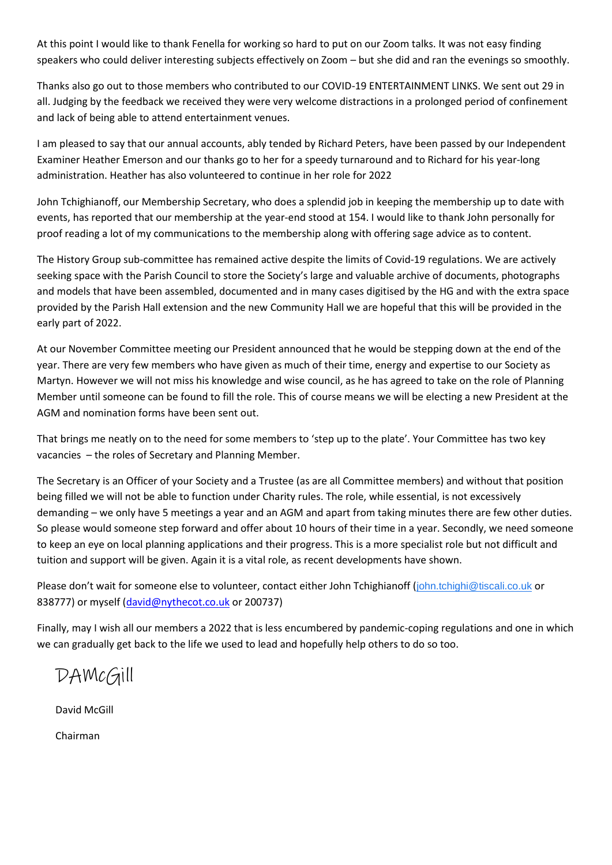At this point I would like to thank Fenella for working so hard to put on our Zoom talks. It was not easy finding speakers who could deliver interesting subjects effectively on Zoom – but she did and ran the evenings so smoothly.

Thanks also go out to those members who contributed to our COVID-19 ENTERTAINMENT LINKS. We sent out 29 in all. Judging by the feedback we received they were very welcome distractions in a prolonged period of confinement and lack of being able to attend entertainment venues.

I am pleased to say that our annual accounts, ably tended by Richard Peters, have been passed by our Independent Examiner Heather Emerson and our thanks go to her for a speedy turnaround and to Richard for his year-long administration. Heather has also volunteered to continue in her role for 2022

John Tchighianoff, our Membership Secretary, who does a splendid job in keeping the membership up to date with events, has reported that our membership at the year-end stood at 154. I would like to thank John personally for proof reading a lot of my communications to the membership along with offering sage advice as to content.

The History Group sub-committee has remained active despite the limits of Covid-19 regulations. We are actively seeking space with the Parish Council to store the Society's large and valuable archive of documents, photographs and models that have been assembled, documented and in many cases digitised by the HG and with the extra space provided by the Parish Hall extension and the new Community Hall we are hopeful that this will be provided in the early part of 2022.

At our November Committee meeting our President announced that he would be stepping down at the end of the year. There are very few members who have given as much of their time, energy and expertise to our Society as Martyn. However we will not miss his knowledge and wise council, as he has agreed to take on the role of Planning Member until someone can be found to fill the role. This of course means we will be electing a new President at the AGM and nomination forms have been sent out.

That brings me neatly on to the need for some members to 'step up to the plate'. Your Committee has two key vacancies – the roles of Secretary and Planning Member.

The Secretary is an Officer of your Society and a Trustee (as are all Committee members) and without that position being filled we will not be able to function under Charity rules. The role, while essential, is not excessively demanding – we only have 5 meetings a year and an AGM and apart from taking minutes there are few other duties. So please would someone step forward and offer about 10 hours of their time in a year. Secondly, we need someone to keep an eye on local planning applications and their progress. This is a more specialist role but not difficult and tuition and support will be given. Again it is a vital role, as recent developments have shown.

Please don't wait for someone else to volunteer, contact either John Tchighianoff ([john.tchighi@tiscali.co.uk](mailto:john.tchighi@tiscali.co.uk) or 838777) or myself [\(david@nythecot.co.uk](mailto:david@nythecot.co.uk) or 200737)

Finally, may I wish all our members a 2022 that is less encumbered by pandemic-coping regulations and one in which we can gradually get back to the life we used to lead and hopefully help others to do so too.

DAMcGill

David McGill

Chairman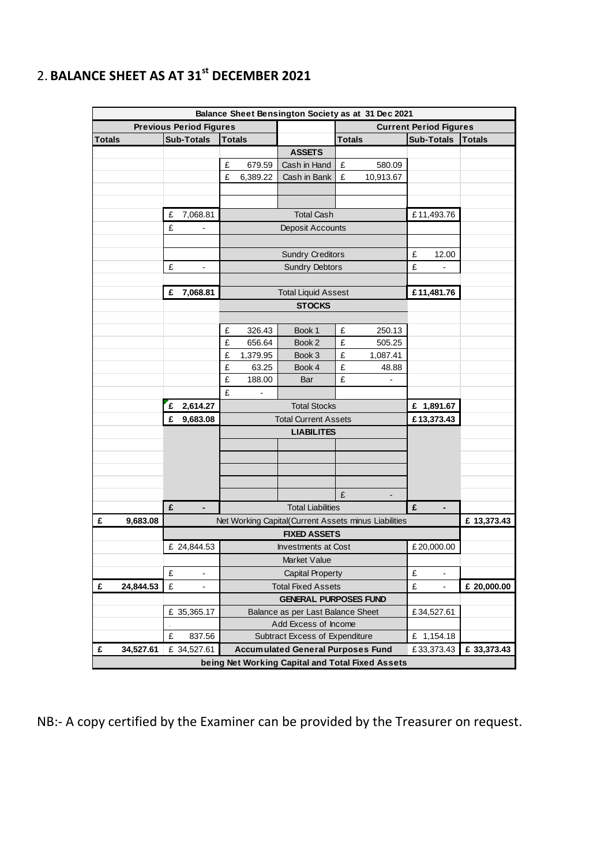|                                |           |   |                          |                                                                |          | Balance Sheet Bensington Society as at 31 Dec 2021 |                               |                |            |                          |               |
|--------------------------------|-----------|---|--------------------------|----------------------------------------------------------------|----------|----------------------------------------------------|-------------------------------|----------------|------------|--------------------------|---------------|
| <b>Previous Period Figures</b> |           |   |                          |                                                                |          |                                                    | <b>Current Period Figures</b> |                |            |                          |               |
| <b>Totals</b>                  |           |   | <b>Sub-Totals</b>        | <b>Totals</b>                                                  |          |                                                    | <b>Totals</b>                 |                |            | <b>Sub-Totals</b>        | <b>Totals</b> |
|                                |           |   |                          |                                                                |          | <b>ASSETS</b>                                      |                               |                |            |                          |               |
|                                |           |   |                          | £                                                              | 679.59   | Cash in Hand                                       | £                             | 580.09         |            |                          |               |
|                                |           |   |                          | £                                                              | 6,389.22 | Cash in Bank                                       | £                             | 10,913.67      |            |                          |               |
|                                |           |   |                          |                                                                |          |                                                    |                               |                |            |                          |               |
|                                |           |   |                          |                                                                |          |                                                    |                               |                |            |                          |               |
|                                |           | £ | 7,068.81                 |                                                                |          | <b>Total Cash</b>                                  |                               |                |            | £11,493.76               |               |
|                                |           | £ |                          |                                                                |          | Deposit Accounts                                   |                               |                |            |                          |               |
|                                |           |   |                          |                                                                |          |                                                    |                               |                |            |                          |               |
|                                |           |   |                          | <b>Sundry Creditors</b>                                        |          |                                                    |                               |                | £          | 12.00                    |               |
|                                |           | £ |                          | <b>Sundry Debtors</b>                                          |          |                                                    |                               |                | £          |                          |               |
|                                |           |   |                          |                                                                |          |                                                    |                               |                |            |                          |               |
|                                |           | £ | 7,068.81                 |                                                                |          | <b>Total Liquid Assest</b>                         |                               |                |            | £11,481.76               |               |
|                                |           |   |                          |                                                                |          | <b>STOCKS</b>                                      |                               |                |            |                          |               |
|                                |           |   |                          |                                                                |          |                                                    |                               |                |            |                          |               |
|                                |           |   |                          | £                                                              | 326.43   | Book 1                                             | £                             | 250.13         |            |                          |               |
|                                |           |   |                          | £                                                              | 656.64   | Book 2                                             | £                             | 505.25         |            |                          |               |
|                                |           |   |                          | £                                                              | 1,379.95 | Book 3                                             | £                             | 1,087.41       |            |                          |               |
|                                |           |   |                          | £                                                              | 63.25    | Book 4                                             | £                             | 48.88          |            |                          |               |
|                                |           |   |                          | £                                                              | 188.00   | Bar                                                | £                             | $\blacksquare$ |            |                          |               |
|                                |           |   |                          | £                                                              |          |                                                    |                               |                |            |                          |               |
|                                |           | £ | 2,614.27                 | <b>Total Stocks</b>                                            |          |                                                    |                               |                | £ 1,891.67 |                          |               |
|                                |           | £ | 9,683.08                 | <b>Total Current Assets</b>                                    |          |                                                    |                               |                |            | £13,373.43               |               |
|                                |           |   |                          | <b>LIABILITES</b>                                              |          |                                                    |                               |                |            |                          |               |
|                                |           |   |                          |                                                                |          |                                                    |                               |                |            |                          |               |
|                                |           |   |                          |                                                                |          |                                                    |                               |                |            |                          |               |
|                                |           |   |                          |                                                                |          |                                                    |                               |                |            |                          |               |
|                                |           |   |                          |                                                                |          |                                                    |                               |                |            |                          |               |
|                                |           |   |                          |                                                                |          |                                                    | £                             |                |            |                          |               |
|                                |           | £ |                          | <b>Total Liabilities</b>                                       |          |                                                    |                               |                | £          |                          |               |
| £                              | 9,683.08  |   |                          | Net Working Capital(Current Assets minus Liabilities           |          |                                                    |                               |                |            |                          | £ 13,373.43   |
|                                |           |   |                          | <b>FIXED ASSETS</b>                                            |          |                                                    |                               |                |            |                          |               |
|                                |           |   | £ 24,844.53              | <b>Investments at Cost</b>                                     |          |                                                    |                               |                | £20,000.00 |                          |               |
|                                |           |   |                          | Market Value                                                   |          |                                                    |                               |                |            |                          |               |
|                                |           | £ | $\overline{\phantom{a}}$ | Capital Property                                               |          |                                                    |                               |                | £          | $\overline{\phantom{m}}$ |               |
| £                              | 24,844.53 | £ | L.                       | <b>Total Fixed Assets</b>                                      |          |                                                    |                               |                | £          | $\overline{\phantom{0}}$ | £ 20,000.00   |
|                                |           |   |                          | <b>GENERAL PURPOSES FUND</b>                                   |          |                                                    |                               |                |            |                          |               |
|                                |           |   | £ 35,365.17              | Balance as per Last Balance Sheet                              |          |                                                    |                               |                |            | £34,527.61               |               |
|                                |           | £ | 837.56                   | Add Excess of Income<br>Subtract Excess of Expenditure         |          |                                                    |                               |                |            |                          |               |
| £                              | 34,527.61 |   | £ 34,527.61              | <b>Accumulated General Purposes Fund</b>                       |          |                                                    |                               |                |            | £ 1,154.18               | £ 33,373.43   |
|                                |           |   |                          | £33,373.43<br>being Net Working Capital and Total Fixed Assets |          |                                                    |                               |                |            |                          |               |

## 2. **BALANCE SHEET AS AT 31st DECEMBER 2021**

NB:- A copy certified by the Examiner can be provided by the Treasurer on request.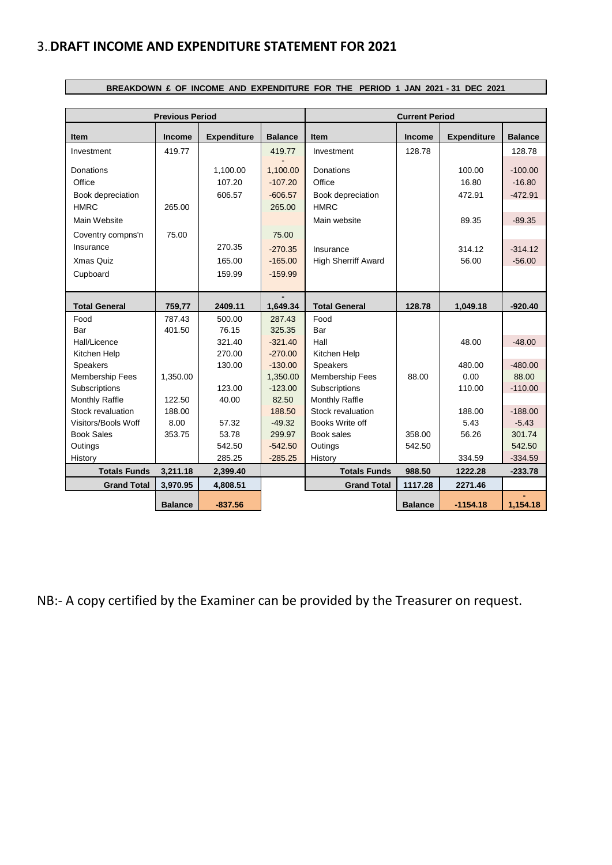## 3..**DRAFT INCOME AND EXPENDITURE STATEMENT FOR 2021**

 $\Box$ 

|                        | <b>Previous Period</b> |                    |                  | <b>Current Period</b>      |                |                    |                |  |  |  |  |  |
|------------------------|------------------------|--------------------|------------------|----------------------------|----------------|--------------------|----------------|--|--|--|--|--|
| Item                   | Income                 | <b>Expenditure</b> | <b>Balance</b>   | <b>Item</b>                | Income         | <b>Expenditure</b> | <b>Balance</b> |  |  |  |  |  |
| Investment             | 419.77                 |                    | 419.77           | Investment                 | 128.78         |                    | 128.78         |  |  |  |  |  |
| Donations              |                        | 1,100.00           | 1,100.00         | Donations                  |                | 100.00             | $-100.00$      |  |  |  |  |  |
| Office                 |                        | 107.20             | $-107.20$        | Office                     |                | 16.80              | $-16.80$       |  |  |  |  |  |
| Book depreciation      |                        | 606.57             | $-606.57$        | Book depreciation          |                | 472.91             | $-472.91$      |  |  |  |  |  |
| <b>HMRC</b>            | 265.00                 |                    | 265.00           | <b>HMRC</b>                |                |                    |                |  |  |  |  |  |
| Main Website           |                        |                    |                  | Main website               |                | 89.35              | $-89.35$       |  |  |  |  |  |
| Coventry compns'n      | 75.00                  |                    | 75.00            |                            |                |                    |                |  |  |  |  |  |
| Insurance              |                        | 270.35             | $-270.35$        | Insurance                  |                | 314.12             | $-314.12$      |  |  |  |  |  |
| Xmas Quiz              |                        | 165.00             | $-165.00$        | <b>High Sherriff Award</b> |                | 56.00              | $-56.00$       |  |  |  |  |  |
| Cupboard               |                        | 159.99             | $-159.99$        |                            |                |                    |                |  |  |  |  |  |
|                        |                        |                    |                  |                            |                |                    |                |  |  |  |  |  |
|                        |                        |                    |                  | <b>Total General</b>       | 128.78         |                    |                |  |  |  |  |  |
| <b>Total General</b>   | 759,77                 | 2409.11            | 1,649.34         |                            |                | 1,049.18           | $-920.40$      |  |  |  |  |  |
| Food<br>Bar            | 787.43<br>401.50       | 500.00<br>76.15    | 287.43<br>325.35 | Food<br>Bar                |                |                    |                |  |  |  |  |  |
| Hall/Licence           |                        | 321.40             | $-321.40$        | Hall                       |                | 48.00              | $-48.00$       |  |  |  |  |  |
| Kitchen Help           |                        | 270.00             | $-270.00$        | Kitchen Help               |                |                    |                |  |  |  |  |  |
| <b>Speakers</b>        |                        | 130.00             | $-130.00$        | <b>Speakers</b>            |                | 480.00             | $-480.00$      |  |  |  |  |  |
| <b>Membership Fees</b> | 1,350.00               |                    | 1,350.00         | Membership Fees            | 88.00          | 0.00               | 88.00          |  |  |  |  |  |
| Subscriptions          |                        | 123.00             | $-123.00$        | Subscriptions              |                | 110.00             | $-110.00$      |  |  |  |  |  |
| Monthly Raffle         | 122.50                 | 40.00              | 82.50            | Monthly Raffle             |                |                    |                |  |  |  |  |  |
| Stock revaluation      | 188.00                 |                    | 188.50           | Stock revaluation          |                | 188.00             | $-188.00$      |  |  |  |  |  |
| Visitors/Bools Woff    | 8.00                   | 57.32              | $-49.32$         | Books Write off            |                | 5.43               | $-5.43$        |  |  |  |  |  |
| <b>Book Sales</b>      | 353.75                 | 53.78              | 299.97           | Book sales                 | 358.00         | 56.26              | 301.74         |  |  |  |  |  |
| Outings                |                        | 542.50             | $-542.50$        | Outings                    | 542.50         |                    | 542.50         |  |  |  |  |  |
| History                |                        | 285.25             | $-285.25$        | History                    |                | 334.59             | $-334.59$      |  |  |  |  |  |
| <b>Totals Funds</b>    | 3,211.18               | 2,399.40           |                  | <b>Totals Funds</b>        | 988.50         | 1222.28            | $-233.78$      |  |  |  |  |  |
| <b>Grand Total</b>     | 3,970.95               | 4,808.51           |                  | <b>Grand Total</b>         | 1117.28        | 2271.46            |                |  |  |  |  |  |
|                        |                        |                    |                  |                            |                |                    |                |  |  |  |  |  |
|                        | <b>Balance</b>         | $-837.56$          |                  |                            | <b>Balance</b> | $-1154.18$         | 1,154.18       |  |  |  |  |  |

**BREAKDOWN £ OF INCOME AND EXPENDITURE FOR THE PERIOD 1 JAN 2021 - 31 DEC 2021**

NB:- A copy certified by the Examiner can be provided by the Treasurer on request.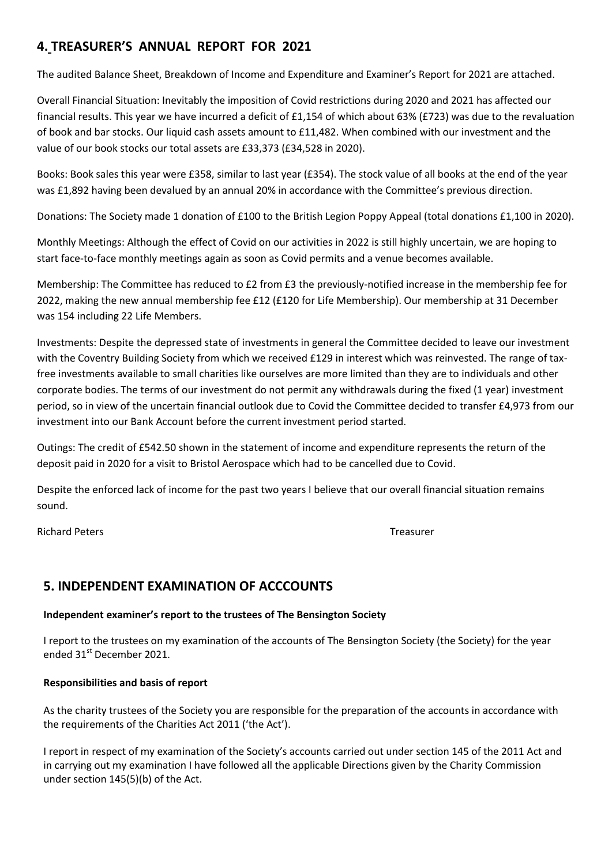## **4. TREASURER'S ANNUAL REPORT FOR 2021**

The audited Balance Sheet, Breakdown of Income and Expenditure and Examiner's Report for 2021 are attached.

Overall Financial Situation: Inevitably the imposition of Covid restrictions during 2020 and 2021 has affected our financial results. This year we have incurred a deficit of £1,154 of which about 63% (£723) was due to the revaluation of book and bar stocks. Our liquid cash assets amount to £11,482. When combined with our investment and the value of our book stocks our total assets are £33,373 (£34,528 in 2020).

Books: Book sales this year were £358, similar to last year (£354). The stock value of all books at the end of the year was £1,892 having been devalued by an annual 20% in accordance with the Committee's previous direction.

Donations: The Society made 1 donation of £100 to the British Legion Poppy Appeal (total donations £1,100 in 2020).

Monthly Meetings: Although the effect of Covid on our activities in 2022 is still highly uncertain, we are hoping to start face-to-face monthly meetings again as soon as Covid permits and a venue becomes available.

Membership: The Committee has reduced to £2 from £3 the previously-notified increase in the membership fee for 2022, making the new annual membership fee £12 (£120 for Life Membership). Our membership at 31 December was 154 including 22 Life Members.

Investments: Despite the depressed state of investments in general the Committee decided to leave our investment with the Coventry Building Society from which we received £129 in interest which was reinvested. The range of taxfree investments available to small charities like ourselves are more limited than they are to individuals and other corporate bodies. The terms of our investment do not permit any withdrawals during the fixed (1 year) investment period, so in view of the uncertain financial outlook due to Covid the Committee decided to transfer £4,973 from our investment into our Bank Account before the current investment period started.

Outings: The credit of £542.50 shown in the statement of income and expenditure represents the return of the deposit paid in 2020 for a visit to Bristol Aerospace which had to be cancelled due to Covid.

Despite the enforced lack of income for the past two years I believe that our overall financial situation remains sound.

Richard Peters Treasurer

## **5. INDEPENDENT EXAMINATION OF ACCCOUNTS**

#### **Independent examiner's report to the trustees of The Bensington Society**

I report to the trustees on my examination of the accounts of The Bensington Society (the Society) for the year ended 31<sup>st</sup> December 2021.

#### **Responsibilities and basis of report**

As the charity trustees of the Society you are responsible for the preparation of the accounts in accordance with the requirements of the Charities Act 2011 ('the Act').

I report in respect of my examination of the Society's accounts carried out under section 145 of the 2011 Act and in carrying out my examination I have followed all the applicable Directions given by the Charity Commission under section 145(5)(b) of the Act.